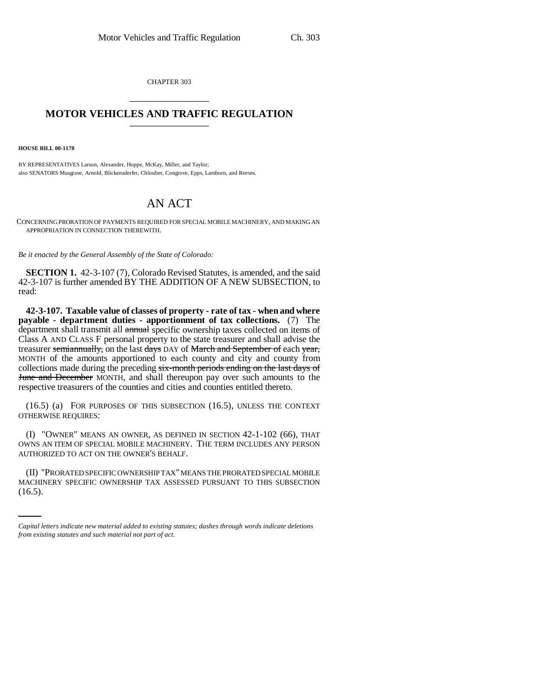CHAPTER 303 \_\_\_\_\_\_\_\_\_\_\_\_\_\_\_

## **MOTOR VEHICLES AND TRAFFIC REGULATION**

**HOUSE BILL 00-1178** 

BY REPRESENTATIVES Larson, Alexander, Hoppe, McKay, Miller, and Taylor; also SENATORS Musgrave, Arnold, Blickensderfer, Chlouber, Congrove, Epps, Lamborn, and Reeves.

## AN ACT

CONCERNING PRORATION OF PAYMENTS REQUIRED FOR SPECIAL MOBILE MACHINERY, AND MAKING AN APPROPRIATION IN CONNECTION THEREWITH.

*Be it enacted by the General Assembly of the State of Colorado:*

**SECTION 1.** 42-3-107 (7), Colorado Revised Statutes, is amended, and the said 42-3-107 is further amended BY THE ADDITION OF A NEW SUBSECTION, to read:

**42-3-107. Taxable value of classes of property - rate of tax - when and where payable - department duties - apportionment of tax collections.** (7) The department shall transmit all annual specific ownership taxes collected on items of Class A AND CLASS F personal property to the state treasurer and shall advise the treasurer semiannually, on the last days DAY of March and September of each year, MONTH of the amounts apportioned to each county and city and county from collections made during the preceding six-month periods ending on the last days of June and December MONTH, and shall thereupon pay over such amounts to the respective treasurers of the counties and cities and counties entitled thereto.

(16.5) (a) FOR PURPOSES OF THIS SUBSECTION (16.5), UNLESS THE CONTEXT OTHERWISE REQUIRES:

(I) "OWNER" MEANS AN OWNER, AS DEFINED IN SECTION 42-1-102 (66), THAT OWNS AN ITEM OF SPECIAL MOBILE MACHINERY. THE TERM INCLUDES ANY PERSON AUTHORIZED TO ACT ON THE OWNER'S BEHALF.

(II) "PRORATED SPECIFIC OWNERSHIP TAX" MEANS THE PRORATED SPECIAL MOBILE MACHINERY SPECIFIC OWNERSHIP TAX ASSESSED PURSUANT TO THIS SUBSECTION  $(16.5).$ 

*Capital letters indicate new material added to existing statutes; dashes through words indicate deletions from existing statutes and such material not part of act.*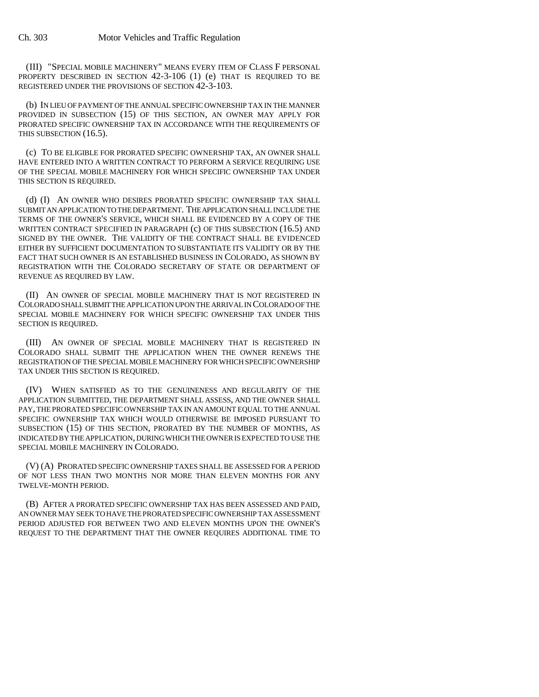(III) "SPECIAL MOBILE MACHINERY" MEANS EVERY ITEM OF CLASS F PERSONAL PROPERTY DESCRIBED IN SECTION 42-3-106 (1) (e) THAT IS REQUIRED TO BE REGISTERED UNDER THE PROVISIONS OF SECTION 42-3-103.

(b) IN LIEU OF PAYMENT OF THE ANNUAL SPECIFIC OWNERSHIP TAX IN THE MANNER PROVIDED IN SUBSECTION (15) OF THIS SECTION, AN OWNER MAY APPLY FOR PRORATED SPECIFIC OWNERSHIP TAX IN ACCORDANCE WITH THE REQUIREMENTS OF THIS SUBSECTION (16.5).

(c) TO BE ELIGIBLE FOR PRORATED SPECIFIC OWNERSHIP TAX, AN OWNER SHALL HAVE ENTERED INTO A WRITTEN CONTRACT TO PERFORM A SERVICE REQUIRING USE OF THE SPECIAL MOBILE MACHINERY FOR WHICH SPECIFIC OWNERSHIP TAX UNDER THIS SECTION IS REQUIRED.

(d) (I) AN OWNER WHO DESIRES PRORATED SPECIFIC OWNERSHIP TAX SHALL SUBMIT AN APPLICATION TO THE DEPARTMENT. THE APPLICATION SHALL INCLUDE THE TERMS OF THE OWNER'S SERVICE, WHICH SHALL BE EVIDENCED BY A COPY OF THE WRITTEN CONTRACT SPECIFIED IN PARAGRAPH (c) OF THIS SUBSECTION (16.5) AND SIGNED BY THE OWNER. THE VALIDITY OF THE CONTRACT SHALL BE EVIDENCED EITHER BY SUFFICIENT DOCUMENTATION TO SUBSTANTIATE ITS VALIDITY OR BY THE FACT THAT SUCH OWNER IS AN ESTABLISHED BUSINESS IN COLORADO, AS SHOWN BY REGISTRATION WITH THE COLORADO SECRETARY OF STATE OR DEPARTMENT OF REVENUE AS REQUIRED BY LAW.

(II) AN OWNER OF SPECIAL MOBILE MACHINERY THAT IS NOT REGISTERED IN COLORADO SHALL SUBMIT THE APPLICATION UPON THE ARRIVAL IN COLORADO OF THE SPECIAL MOBILE MACHINERY FOR WHICH SPECIFIC OWNERSHIP TAX UNDER THIS SECTION IS REQUIRED.

(III) AN OWNER OF SPECIAL MOBILE MACHINERY THAT IS REGISTERED IN COLORADO SHALL SUBMIT THE APPLICATION WHEN THE OWNER RENEWS THE REGISTRATION OF THE SPECIAL MOBILE MACHINERY FOR WHICH SPECIFIC OWNERSHIP TAX UNDER THIS SECTION IS REQUIRED.

(IV) WHEN SATISFIED AS TO THE GENUINENESS AND REGULARITY OF THE APPLICATION SUBMITTED, THE DEPARTMENT SHALL ASSESS, AND THE OWNER SHALL PAY, THE PRORATED SPECIFIC OWNERSHIP TAX IN AN AMOUNT EQUAL TO THE ANNUAL SPECIFIC OWNERSHIP TAX WHICH WOULD OTHERWISE BE IMPOSED PURSUANT TO SUBSECTION (15) OF THIS SECTION, PRORATED BY THE NUMBER OF MONTHS, AS INDICATED BY THE APPLICATION, DURING WHICH THE OWNER IS EXPECTED TO USE THE SPECIAL MOBILE MACHINERY IN COLORADO.

(V) (A) PRORATED SPECIFIC OWNERSHIP TAXES SHALL BE ASSESSED FOR A PERIOD OF NOT LESS THAN TWO MONTHS NOR MORE THAN ELEVEN MONTHS FOR ANY TWELVE-MONTH PERIOD.

(B) AFTER A PRORATED SPECIFIC OWNERSHIP TAX HAS BEEN ASSESSED AND PAID, AN OWNER MAY SEEK TO HAVE THE PRORATED SPECIFIC OWNERSHIP TAX ASSESSMENT PERIOD ADJUSTED FOR BETWEEN TWO AND ELEVEN MONTHS UPON THE OWNER'S REQUEST TO THE DEPARTMENT THAT THE OWNER REQUIRES ADDITIONAL TIME TO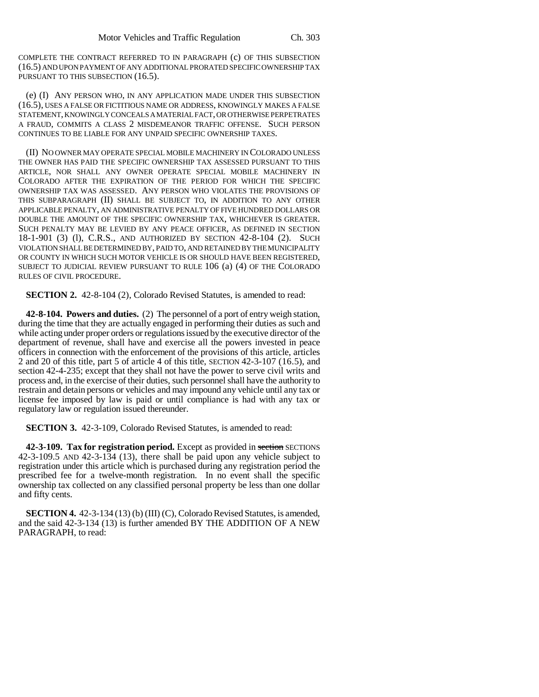COMPLETE THE CONTRACT REFERRED TO IN PARAGRAPH (c) OF THIS SUBSECTION (16.5) AND UPON PAYMENT OF ANY ADDITIONAL PRORATED SPECIFIC OWNERSHIP TAX PURSUANT TO THIS SUBSECTION (16.5).

(e) (I) ANY PERSON WHO, IN ANY APPLICATION MADE UNDER THIS SUBSECTION (16.5), USES A FALSE OR FICTITIOUS NAME OR ADDRESS, KNOWINGLY MAKES A FALSE STATEMENT, KNOWINGLY CONCEALS A MATERIAL FACT, OR OTHERWISE PERPETRATES A FRAUD, COMMITS A CLASS 2 MISDEMEANOR TRAFFIC OFFENSE. SUCH PERSON CONTINUES TO BE LIABLE FOR ANY UNPAID SPECIFIC OWNERSHIP TAXES.

(II) NO OWNER MAY OPERATE SPECIAL MOBILE MACHINERY IN COLORADO UNLESS THE OWNER HAS PAID THE SPECIFIC OWNERSHIP TAX ASSESSED PURSUANT TO THIS ARTICLE, NOR SHALL ANY OWNER OPERATE SPECIAL MOBILE MACHINERY IN COLORADO AFTER THE EXPIRATION OF THE PERIOD FOR WHICH THE SPECIFIC OWNERSHIP TAX WAS ASSESSED. ANY PERSON WHO VIOLATES THE PROVISIONS OF THIS SUBPARAGRAPH (II) SHALL BE SUBJECT TO, IN ADDITION TO ANY OTHER APPLICABLE PENALTY, AN ADMINISTRATIVE PENALTY OF FIVE HUNDRED DOLLARS OR DOUBLE THE AMOUNT OF THE SPECIFIC OWNERSHIP TAX, WHICHEVER IS GREATER. SUCH PENALTY MAY BE LEVIED BY ANY PEACE OFFICER, AS DEFINED IN SECTION 18-1-901 (3) (l), C.R.S., AND AUTHORIZED BY SECTION 42-8-104 (2). SUCH VIOLATION SHALL BE DETERMINED BY, PAID TO, AND RETAINED BY THE MUNICIPALITY OR COUNTY IN WHICH SUCH MOTOR VEHICLE IS OR SHOULD HAVE BEEN REGISTERED, SUBJECT TO JUDICIAL REVIEW PURSUANT TO RULE 106 (a) (4) OF THE COLORADO RULES OF CIVIL PROCEDURE.

**SECTION 2.** 42-8-104 (2), Colorado Revised Statutes, is amended to read:

**42-8-104. Powers and duties.** (2) The personnel of a port of entry weigh station, during the time that they are actually engaged in performing their duties as such and while acting under proper orders or regulations issued by the executive director of the department of revenue, shall have and exercise all the powers invested in peace officers in connection with the enforcement of the provisions of this article, articles 2 and 20 of this title, part 5 of article 4 of this title, SECTION 42-3-107 (16.5), and section 42-4-235; except that they shall not have the power to serve civil writs and process and, in the exercise of their duties, such personnel shall have the authority to restrain and detain persons or vehicles and may impound any vehicle until any tax or license fee imposed by law is paid or until compliance is had with any tax or regulatory law or regulation issued thereunder.

**SECTION 3.** 42-3-109, Colorado Revised Statutes, is amended to read:

**42-3-109. Tax for registration period.** Except as provided in section SECTIONS 42-3-109.5 AND 42-3-134 (13), there shall be paid upon any vehicle subject to registration under this article which is purchased during any registration period the prescribed fee for a twelve-month registration. In no event shall the specific ownership tax collected on any classified personal property be less than one dollar and fifty cents.

**SECTION 4.** 42-3-134 (13) (b) (III) (C), Colorado Revised Statutes, is amended, and the said 42-3-134 (13) is further amended BY THE ADDITION OF A NEW PARAGRAPH, to read: